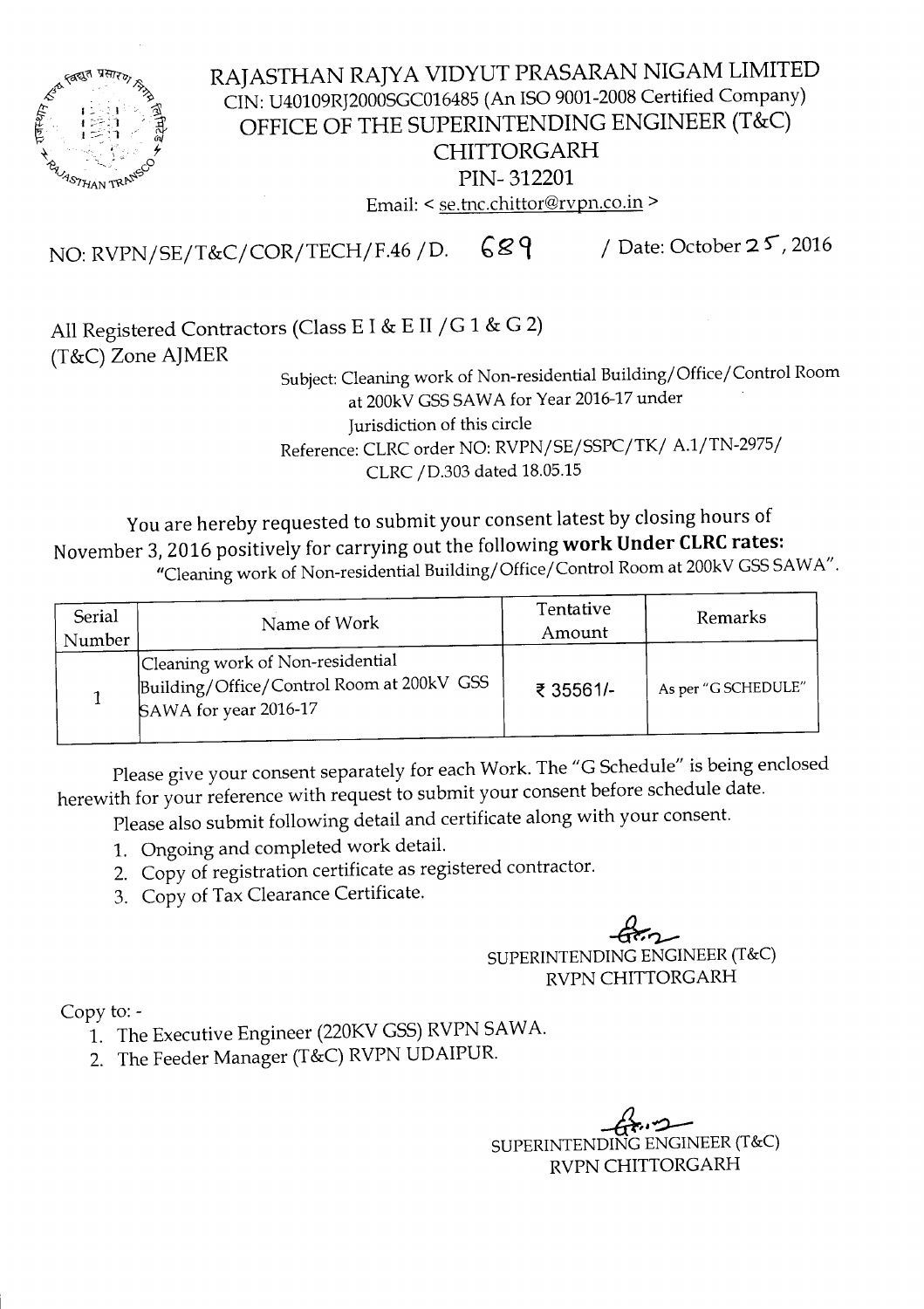

RAJASTHAN RAJYA VIDYUT PRASARAN NIGAM LIMITED CIN: U40109RJ2000SGC016485 (An ISO 9001-2008 Certified Company) OFFICE OF THE SUPERINTENDING ENGINEER (T&C) CHITTORGARH PIN- 312201 Email: < se.tnc.chittor@rvpn.co.in >

NO: RVPN/SE/T&C/COR/TECH/F.46 / D. 689 / Date: October 25, 2016

All Registered Contractors (Class E I & E II *jG* 1 & G 2) (T&C) Zone AJMER

Subject: Cleaning work of Non-residential Building/Office/Control Room at 200kV GSS SAWA for Year 2016-17 under Jurisdiction of this circle Reference: CLRC order NO: RVPN/SE/SSPC/TK/ A.1/TN-2975/ CLRC/D.303 dated 18.05.15

You are hereby requested to submit your consent latest by closing hours of November 3, 2016 positively for carrying out the following **work Under CLRCrates:** "Cleaning work of Non-residential Building/Office/Control Room at 200kVGSSSAWA".

| Serial<br>Number | Name of Work                                                                                           | Tentative<br>Amount | Remarks             |  |  |
|------------------|--------------------------------------------------------------------------------------------------------|---------------------|---------------------|--|--|
|                  | Cleaning work of Non-residential<br>Building/Office/Control Room at 200kV GSS<br>SAWA for year 2016-17 | ₹ 35561/-           | As per "G SCHEDULE" |  |  |

Please give your consent separately for each Work. The "G Schedule" is being enclosed herewith for your reference with request to submit your consent before schedule date.

Please also submit following detail and certificate along with your consent.

- 1. Ongoing and completed work detail.
- 2. Copy of registration certificate as registered contractor.
- 3. Copy of Tax Clearance Certificate.

 $47-$ SUPERINTENDINGENGINEER(T&C) RVPN CHITTORGARH

Copy to:-

- 1. The Executive Engineer (220KV GSS) RVPN SAWA.
- 2. The Feeder Manager (T&C) RVPN UDAIPUR.

 $-6$ SUPERINTENDINGENGINEER(T&C) RVPN CHITTORGARH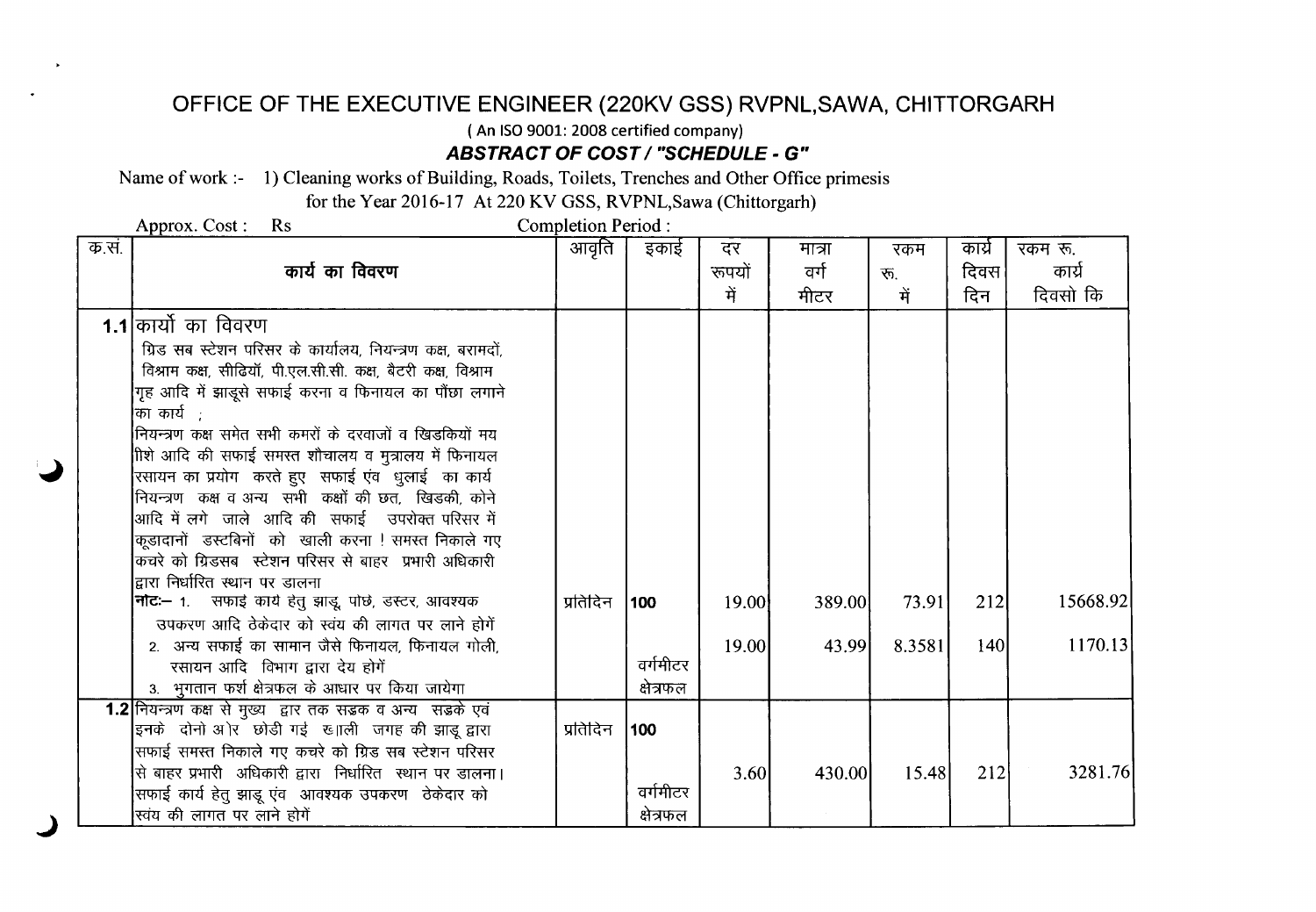## **OFFICE OF THE EXECUTIVE ENGINEER (220KV GSS) RVPNL,SAWA, CHITTORGARH**

( An ISO9001: 2008 certified company)

*ABSTRACT* **OF** *COST / "SCHEDULE -* **G"**

Name of work :- 1) Cleaning works of Building, Roads, Toilets, Trenches and Other Office primesis

for the Year 2016-17 At 220 KV GSS, RVPNL,Sawa (Chittorgarh)

Approx. Cost: Rs Completion Period:

J

| क.सं. |                                                               | आवृति    | इकाई      | दर     | मात्रा | रकम    | कार्य      | रकम रू.  |
|-------|---------------------------------------------------------------|----------|-----------|--------|--------|--------|------------|----------|
|       | कार्य का विवरण                                                |          |           | रूपयों | वर्ग   | रू.    | दिवस       | कार्य    |
|       |                                                               |          |           | में    | मीटर   | में    | दिन        | दिवसो कि |
|       | 1.1 कार्यो का विवरण                                           |          |           |        |        |        |            |          |
|       | ग्रिड सब स्टेशन परिसर के कार्यालय, नियन्त्रण कक्ष, बरामदों,   |          |           |        |        |        |            |          |
|       | विश्राम कक्ष, सीढियॉ, पी.एल.सी.सी. कक्ष, बैटरी कक्ष, विश्राम  |          |           |        |        |        |            |          |
|       | गृह आदि में झाडूसे सफाई करना व फिनायल का पौंछा लगाने          |          |           |        |        |        |            |          |
|       | का कार्य $\;$ ;                                               |          |           |        |        |        |            |          |
|       | नियन्त्रण कक्ष समेत सभी कमरों के दरवाजों व खिडकियों मय        |          |           |        |        |        |            |          |
|       | ीशे आदि की सफाई समस्त शौचालय व मुत्रालय में फिनायल            |          |           |        |        |        |            |          |
|       | रसायन का प्रयोग करते हुए) सफाई एंव) धुलाई का कार्य            |          |           |        |        |        |            |          |
|       | नियन्त्रण कक्ष व अन्य सभी कक्षों की छत, खिडकी, कोने           |          |           |        |        |        |            |          |
|       | आदि में लगे  जाले  आदि की  सफाई   उपरोक्त परिसर में           |          |           |        |        |        |            |          |
|       | कूडादानों  डस्टबिनों  को  खाली करना ! समस्त निकाले गए         |          |           |        |        |        |            |          |
|       | कचरे को ग्रिडसब) स्टेशन परिसर से बाहर प्रभारी अधिकारी         |          |           |        |        |        |            |          |
|       | द्वारा निर्धारित स्थान पर डालना                               |          |           |        |        |        |            |          |
|       | <b> नोट:–</b> १.    सफाई कार्य हेतु झाडू, पोछे, डस्टर, आवश्यक | प्रतिदिन | 100       | 19.00  | 389.00 | 73.91  | 212        | 15668.92 |
|       | उपकरण आदि ठेकेदार को स्वंय की लागत पर लाने होगें              |          |           |        |        |        |            |          |
|       | 2. अन्य सफाई का सामान जैसे फिनायल, फिनायल गोली,               |          |           | 19.00  | 43.99  | 8.3581 | <b>140</b> | 1170.13  |
|       | रसायन आदि विभाग द्वारा देय होगें                              |          | वर्गमीटर  |        |        |        |            |          |
|       | 3. भुगतान फर्श क्षेत्रफल के आधार पर किया जायेगा               |          | क्षेत्रफल |        |        |        |            |          |
|       | 1.2 नियन्त्रण कक्ष से मुख्य द्वार तक सड़क व अन्य सड़के एवं    |          |           |        |        |        |            |          |
|       | इनके दोनों अ।ेर छोडी गई छ।ाली जगह की झाडू द्वारा              | प्रतिदिन | 100       |        |        |        |            |          |
|       | सिफाई समस्त निकाले गए कचरे को ग्रिड सब स्टेशन परिसर           |          |           |        |        |        |            |          |
|       | से बाहर प्रभारी  अधिकारी द्वारा  निर्धारित  स्थान पर डालना।   |          |           | 3.60   | 430.00 | 15.48  | 212        | 3281.76  |
|       | सिफाई कार्य हेतु झाडू एंव) आवश्यक उपकरण  ठेकेदार को           |          | वर्गमीटर  |        |        |        |            |          |
|       | स्वंय की लागत पर लाने होगें                                   |          | क्षेत्रफल |        |        |        |            |          |